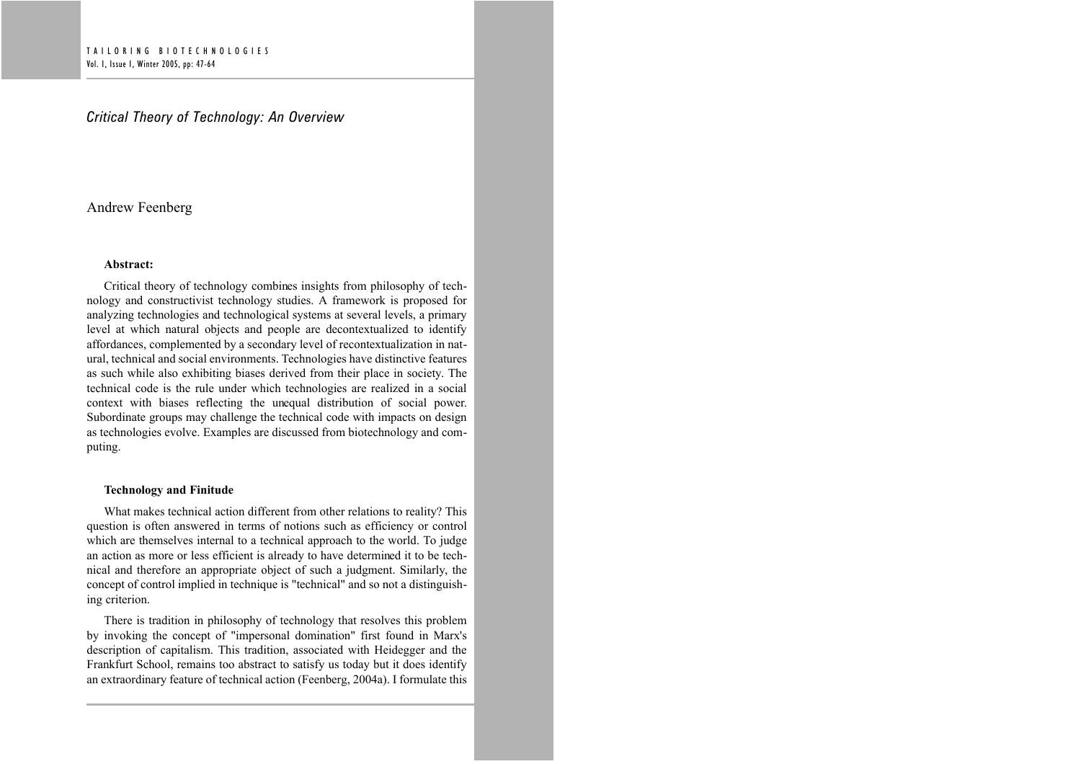# **Critical Theory of Technology: An Overview**

## Andrew Feenber g

### **Abstract:**

Critical theory of technology combines insights from philosophy of technology and constructivist technology studies. A framework is proposed for analyzing technologies and technological systems at several levels, a primary level at which natural objects and people are decontextualized to identify affordances, complemented by a secondary level of recontextualization in natural, technical and social environments. Technologies have distinctive features as such while also exhibiting biases derived from their place in society. The technical code is the rule under which technologies are realized in a social context with biases reflecting the unequal distribution of social power. Subordinate groups may challenge the technical code with impacts on design as technologies evolve. Examples are discussed from biotechnology and computing.

### **Technology and Finitude**

What makes technical action different from other relations to reality? This question is often answered in terms of notions such as efficiency or control which are themselves internal to a technical approach to the world. To judge an action as more or less efficient is already to have determined it to be technical and therefore an appropriate object of such a judgment. Similarly, the concept of control implied in technique is "technical" and so not a distinguishing criterion.

There is tradition in philosophy of technology that resolves this problem by invoking the concept of "impersonal domination" first found in Marx's description of capitalism. This tradition, associated with Heidegger and the Frankfurt School, remains too abstract to satisfy us today but it does identify an extraordinary feature of technical action (Feenberg, 2004a). I formulate this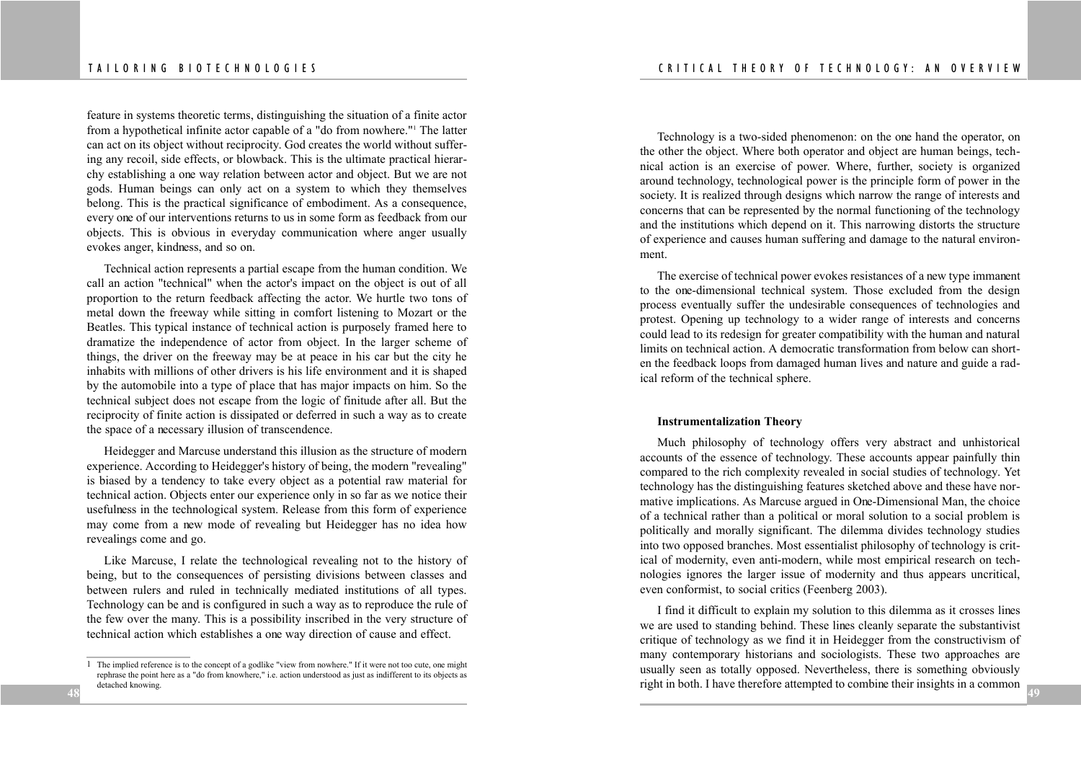feature in systems theoretic terms, distinguishing the situation of a finite actor from a hypothetical infinite actor capable of a "do from nowhere."1 The latter can act on its object without reciprocity. God creates the world without suffering any recoil, side effects, or blowback. This is the ultimate practical hierarchy establishing a one way relation between actor and object. But we are not gods. Human beings can only act on a system to which they themselves belong. This is the practical significance of embodiment. As a consequence, every one of our interventions returns to us in some form as feedback from our objects. This is obvious in everyday communication where anger usually evokes anger, kindness, and so on.

Technical action represents a partial escape from the human condition. We call an action "technical" when the actor's impact on the object is out of all proportion to the return feedback affecting the actor. We hurtle two tons of metal down the freeway while sitting in comfort listening to Mozart or the Beatles. This typical instance of technical action is purposely framed here to dramatize the independence of actor from object. In the larger scheme of things, the driver on the freeway may be at peace in his car but the city he inhabits with millions of other drivers is his life environment and it is shaped by the automobile into a type of place that has major impacts on him. So the technical subject does not escape from the logic of finitude after all. But the reciprocity of finite action is dissipated or deferred in such a way as to create the space of a necessary illusion of transcendence.

Heidegger and Marcuse understand this illusion as the structure of modern experience. According to Heidegger's history of being, the modern "revealing" is biased by a tendency to take every object as a potential raw material for technical action. Objects enter our experience only in so far as we notice their usefulness in the technological system. Release from this form of experience may come from a new mode of revealing but Heidegger has no idea how revealings come and go.

Like Marcuse, I relate the technological revealing not to the history of being, but to the consequences of persisting divisions between classes and between rulers and ruled in technically mediated institutions of all types. Technology can be and is configured in such a way as to reproduce the rule of the few over the many. This is a possibility inscribed in the very structure of technical action which establishes a one way direction of cause and effect.

Technology is a two-sided phenomenon: on the one hand the operator, on the other the object. Where both operator and object are human beings, technical action is an exercise of power. Where, further, society is organized around technology, technological power is the principle form of power in the society. It is realized through designs which narrow the range of interests and concerns that can be represented by the normal functioning of the technology and the institutions which depend on it. This narrowing distorts the structure of experience and causes human suffering and damage to the natural environment.

The exercise of technical power evokes resistances of a new type immanent to the one-dimensional technical system. Those excluded from the design process eventually suffer the undesirable consequences of technologies and protest. Opening up technology to a wider range of interests and concerns could lead to its redesign for greater compatibility with the human and natural limits on technical action. A democratic transformation from below can shorten the feedback loops from damaged human lives and nature and guide a radical reform of the technical sphere.

### **Instrumentalization Theory**

Much philosophy of technology offers very abstract and unhistorical accounts of the essence of technology. These accounts appear painfully thin compared to the rich complexity revealed in social studies of technology. Yet technology has the distinguishing features sketched above and these have normative implications. As Marcuse argued in One-Dimensional Man, the choice of a technical rather than a political or moral solution to a social problem is politically and morally significant. The dilemma divides technology studies into two opposed branches. Most essentialist philosophy of technology is critical of modernity, even anti-modern, while most empirical research on technologies ignores the larger issue of modernity and thus appears uncritical, even conformist, to social critics (Feenberg 2003).

I find it difficult to explain my solution to this dilemma as it crosses lines we are used to standing behind. These lines cleanly separate the substantivist critique of technology as we find it in Heidegger from the constructivism of many contemporary historians and sociologists. These two approaches are usually seen as totally opposed. Nevertheless, there is something obviously right in both. I have therefore attempted to combine their insights in a common

**<sup>48</sup> 49** The implied reference is to the concept of a godlike "view from nowhere." If it were not too cute, one might 1rephrase the point here as a "do from knowhere," i.e. action understood as just as indifferent to its objects as detached knowing.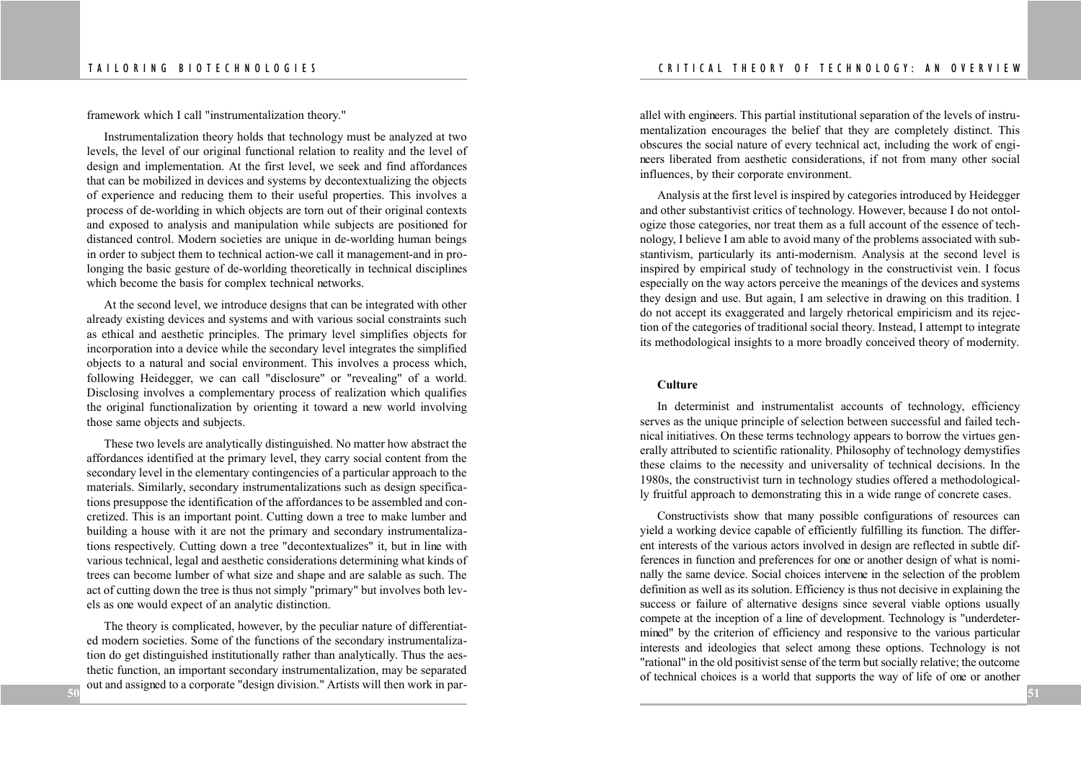framework which I call "instrumentalization theory."

Instrumentalization theory holds that technology must be analyzed at two levels, the level of our original functional relation to reality and the level of design and implementation. At the first level, we seek and find affordances that can be mobilized in devices and systems by decontextualizing the objects of experience and reducing them to their useful properties. This involves a process of de-worlding in which objects are torn out of their original contexts and exposed to analysis and manipulation while subjects are positioned for distanced control. Modern societies are unique in de-worlding human beings in order to subject them to technical action-we call it management-and in prolonging the basic gesture of de-worlding theoretically in technical disciplines which become the basis for complex technical networks.

At the second level, we introduce designs that can be integrated with other already existing devices and systems and with various social constraints such as ethical and aesthetic principles. The primary level simplifies objects for incorporation into a device while the secondary level integrates the simplified objects to a natural and social environment. This involves a process which, following Heidegger, we can call "disclosure" or "revealing" of a world. Disclosing involves a complementary process of realization which qualifies the original functionalization by orienting it toward a new world involving those same objects and subjects.

These two levels are analytically distinguished. No matter how abstract the affordances identified at the primary level, they carry social content from the secondary level in the elementary contingencies of a particular approach to the materials. Similarly, secondary instrumentalizations such as design specifications presuppose the identification of the affordances to be assembled and concretized. This is an important point. Cutting down a tree to make lumber and building a house with it are not the primary and secondary instrumentalizations respectively. Cutting down a tree "decontextualizes" it, but in line with various technical, legal and aesthetic considerations determining what kinds of trees can become lumber of what size and shape and are salable as such. The act of cutting down the tree is thus not simply "primary" but involves both levels as one would expect of an analytic distinction.

The theory is complicated, however, by the peculiar nature of differentiated modern societies. Some of the functions of the secondary instrumentalization do get distinguished institutionally rather than analytically. Thus the aesthetic function, an important secondary instrumentalization, may be separated out and assigned to a corporate "design division." Artists will then work in par- **<sup>50</sup>**

allel with engineers. This partial institutional separation of the levels of instrumentalization encourages the belief that they are completely distinct. This obscures the social nature of every technical act, including the work of engineers liberated from aesthetic considerations, if not from many other social influences, by their corporate environment.

Analysis at the first level is inspired by categories introduced by Heidegger and other substantivist critics of technology. However, because I do not ontologize those categories, nor treat them as a full account of the essence of technology, I believe I am able to avoid many of the problems associated with substantivism, particularly its anti-modernism. Analysis at the second level is inspired by empirical study of technology in the constructivist vein. I focus especially on the way actors perceive the meanings of the devices and systems they design and use. But again, I am selective in drawing on this tradition. I do not accept its exaggerated and largely rhetorical empiricism and its rejection of the categories of traditional social theory. Instead, I attempt to integrate its methodological insights to a more broadly conceived theory of modernity.

### **Culture**

In determinist and instrumentalist accounts of technology, efficiency serves as the unique principle of selection between successful and failed technical initiatives. On these terms technology appears to borrow the virtues generally attributed to scientific rationality. Philosophy of technology demystifies these claims to the necessity and universality of technical decisions. In the 1980s, the constructivist turn in technology studies offered a methodologically fruitful approach to demonstrating this in a wide range of concrete cases.

Constructivists show that many possible configurations of resources can yield a working device capable of efficiently fulfilling its function. The different interests of the various actors involved in design are reflected in subtle differences in function and preferences for one or another design of what is nominally the same device. Social choices intervene in the selection of the problem definition as well as its solution. Efficiency is thus not decisive in explaining the success or failure of alternative designs since several viable options usually compete at the inception of a line of development. Technology is "underdetermined" by the criterion of efficiency and responsive to the various particular interests and ideologies that select among these options. Technology is not "rational" in the old positivist sense of the term but socially relative; the outcome of technical choices is a world that supports the way of life of one or another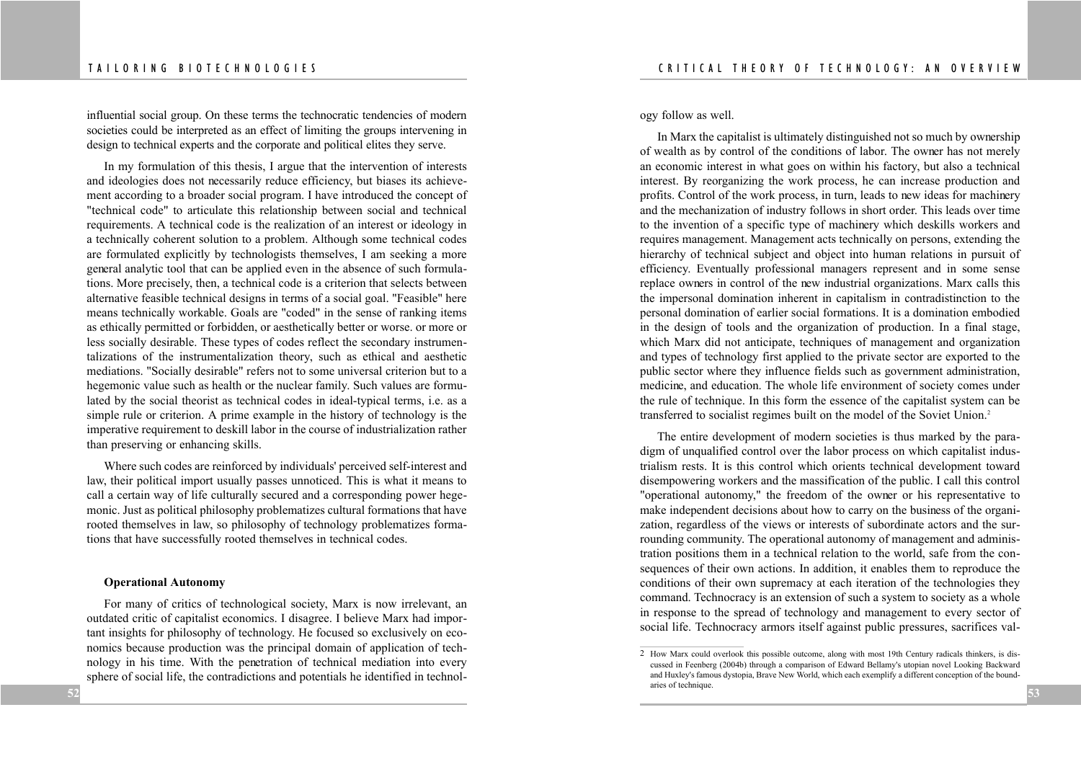influential social group. On these terms the technocratic tendencies of modern societies could be interpreted as an effect of limiting the groups intervening in design to technical experts and the corporate and political elites they serve.

In my formulation of this thesis, I argue that the intervention of interests and ideologies does not necessarily reduce efficiency, but biases its achievement according to a broader social program. I have introduced the concept of "technical code" to articulate this relationship between social and technical requirements. A technical code is the realization of an interest or ideology in a technically coherent solution to a problem. Although some technical codes are formulated explicitly by technologists themselves, I am seeking a more general analytic tool that can be applied even in the absence of such formulations. More precisely, then, a technical code is a criterion that selects between alternative feasible technical designs in terms of a social goal. "Feasible" here means technically workable. Goals are "coded" in the sense of ranking items as ethically permitted or forbidden, or aesthetically better or worse. or more or less socially desirable. These types of codes reflect the secondary instrumentalizations of the instrumentalization theory, such as ethical and aesthetic mediations. "Socially desirable" refers not to some universal criterion but to a hegemonic value such as health or the nuclear family. Such values are formulated by the social theorist as technical codes in ideal-typical terms, i.e. as a simple rule or criterion. A prime example in the history of technology is the imperative requirement to deskill labor in the course of industrialization rather than preserving or enhancing skills.

Where such codes are reinforced by individuals' perceived self-interest and law, their political import usually passes unnoticed. This is what it means to call a certain way of life culturally secured and a corresponding power hegemonic. Just as political philosophy problematizes cultural formations that have rooted themselves in law, so philosophy of technology problematizes formations that have successfully rooted themselves in technical codes.

#### **Operational Autonomy**

For many of critics of technological society, Marx is now irrelevant, an outdated critic of capitalist economics. I disagree. I believe Marx had important insights for philosophy of technology. He focused so exclusively on economics because production was the principal domain of application of technology in his time. With the penetration of technical mediation into every sphere of social life, the contradictions and potentials he identified in technol-

#### ogy follow as well.

In Marx the capitalist is ultimately distinguished not so much by ownership of wealth as by control of the conditions of labor. The owner has not merely an economic interest in what goes on within his factory, but also a technical interest. By reorganizing the work process, he can increase production and profits. Control of the work process, in turn, leads to new ideas for machinery and the mechanization of industry follows in short order. This leads over time to the invention of a specific type of machinery which deskills workers and requires management. Management acts technically on persons, extending the hierarchy of technical subject and object into human relations in pursuit of efficiency. Eventually professional managers represent and in some sense replace owners in control of the new industrial organizations. Marx calls this the impersonal domination inherent in capitalism in contradistinction to the personal domination of earlier social formations. It is a domination embodied in the design of tools and the organization of production. In a final stage, which Marx did not anticipate, techniques of management and organization and types of technology first applied to the private sector are exported to the public sector where they influence fields such as government administration, medicine, and education. The whole life environment of society comes under the rule of technique. In this form the essence of the capitalist system can be transferred to socialist regimes built on the model of the Soviet Union.2

The entire development of modern societies is thus marked by the paradigm of unqualified control over the labor process on which capitalist industrialism rests. It is this control which orients technical development toward disempowering workers and the massification of the public. I call this control "operational autonomy," the freedom of the owner or his representative to make independent decisions about how to carry on the business of the organization, regardless of the views or interests of subordinate actors and the surrounding community. The operational autonomy of management and administration positions them in a technical relation to the world, safe from the consequences of their own actions. In addition, it enables them to reproduce the conditions of their own supremacy at each iteration of the technologies they command. Technocracy is an extension of such a system to society as a whole in response to the spread of technology and management to every sector of social life. Technocracy armors itself against public pressures, sacrifices val-

<sup>2</sup> How Marx could overlook this possible outcome, along with most 19th Century radicals thinkers, is discussed in Feenberg (2004b) through a comparison of Edward Bellamy's utopian novel Looking Backward and Huxley's famous dystopia, Brave New World, which each exemplify a different conception of the boundaries of technique.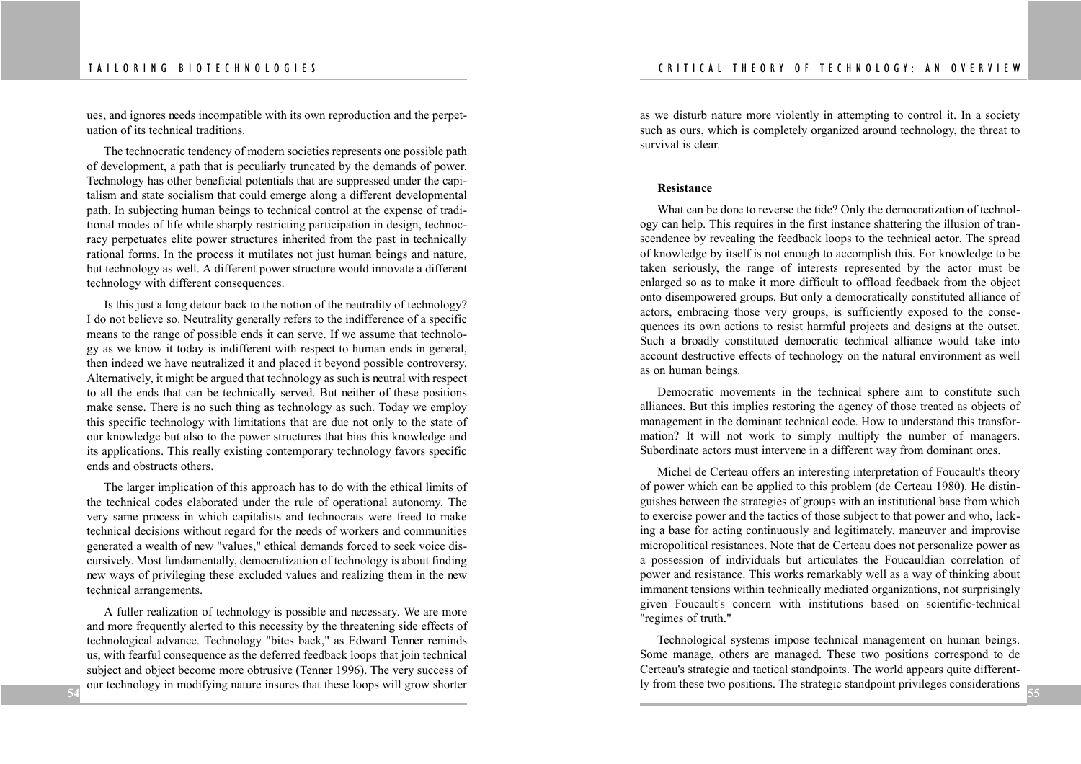ues, and ignores needs incompatible with its own reproduction and the perpetuation of its technical traditions.

The technocratic tendency of modern societies represents one possible path of development, a path that is peculiarly truncated by the demands of power. Technology has other beneficial potentials that are suppressed under the capitalism and state socialism that could emerge along a different developmental path. In subjecting human beings to technical control at the expense of traditional modes of life while sharply restricting participation in design, technocracy perpetuates elite power structures inherited from the past in technically rational forms. In the process it mutilates not just human beings and nature, but technology as well. A different power structure would innovate a different technology with different consequences.

Is this just a long detour back to the notion of the neutrality of technology? I do not believe so. Neutrality generally refers to the indifference of a specific means to the range of possible ends it can serve. If we assume that technology as we know it today is indifferent with respect to human ends in general, then indeed we have neutralized it and placed it beyond possible controversy. Alternatively, it might be argued that technology as such is neutral with respect to all the ends that can be technically served. But neither of these positions make sense. There is no such thing as technology as such. Today we employ this specific technology with limitations that are due not only to the state of our knowledge but also to the power structures that bias this knowledge and its applications. This really existing contemporary technology favors specific ends and obstructs others.

The larger implication of this approach has to do with the ethical limits of the technical codes elaborated under the rule of operational autonomy. The very same process in which capitalists and technocrats were freed to make technical decisions without regard for the needs of workers and communities generated a wealth of new "values," ethical demands forced to seek voice discursively. Most fundamentally, democratization of technology is about finding new ways of privileging these excluded values and realizing them in the new technical arrangements.

A fuller realization of technology is possible and necessary. We are more and more frequently alerted to this necessity by the threatening side effects of technological advance. Technology "bites back," as Edward Tenner reminds us, with fearful consequence as the deferred feedback loops that join technical subject and object become more obtrusive (Tenner 1996). The very success of our technology in modifying nature insures that these loops will grow shorter **<sup>54</sup>**

as we disturb nature more violently in attempting to control it. In a society such as ours, which is completely organized around technology, the threat to survival is clear.

### **Resistance**

What can be done to reverse the tide? Only the democratization of technology can help. This requires in the first instance shattering the illusion of transcendence by revealing the feedback loops to the technical actor. The spread of knowledge by itself is not enough to accomplish this. For knowledge to be taken seriously, the range of interests represented by the actor must be enlarged so as to make it more difficult to offload feedback from the object onto disempowered groups. But only a democratically constituted alliance of actors, embracing those very groups, is sufficiently exposed to the consequences its own actions to resist harmful projects and designs at the outset. Such a broadly constituted democratic technical alliance would take into account destructive effects of technology on the natural environment as well as on human beings.

Democratic movements in the technical sphere aim to constitute such alliances. But this implies restoring the agency of those treated as objects of management in the dominant technical code. How to understand this transformation? It will not work to simply multiply the number of managers. Subordinate actors must intervene in a different way from dominant ones.

Michel de Certeau offers an interesting interpretation of Foucault's theory of power which can be applied to this problem (de Certeau 1980). He distinguishes between the strategies of groups with an institutional base from which to exercise power and the tactics of those subject to that power and who, lacking a base for acting continuously and legitimately, maneuver and improvise micropolitical resistances. Note that de Certeau does not personalize power as a possession of individuals but articulates the Foucauldian correlation of power and resistance. This works remarkably well as a way of thinking about immanent tensions within technically mediated organizations, not surprisingly given Foucault's concern with institutions based on scientific-technical "regimes of truth."

Technological systems impose technical management on human beings. Some manage, others are managed. These two positions correspond to de Certeau's strategic and tactical standpoints. The world appears quite differently from these two positions. The strategic standpoint privileges considerations **<sup>55</sup>**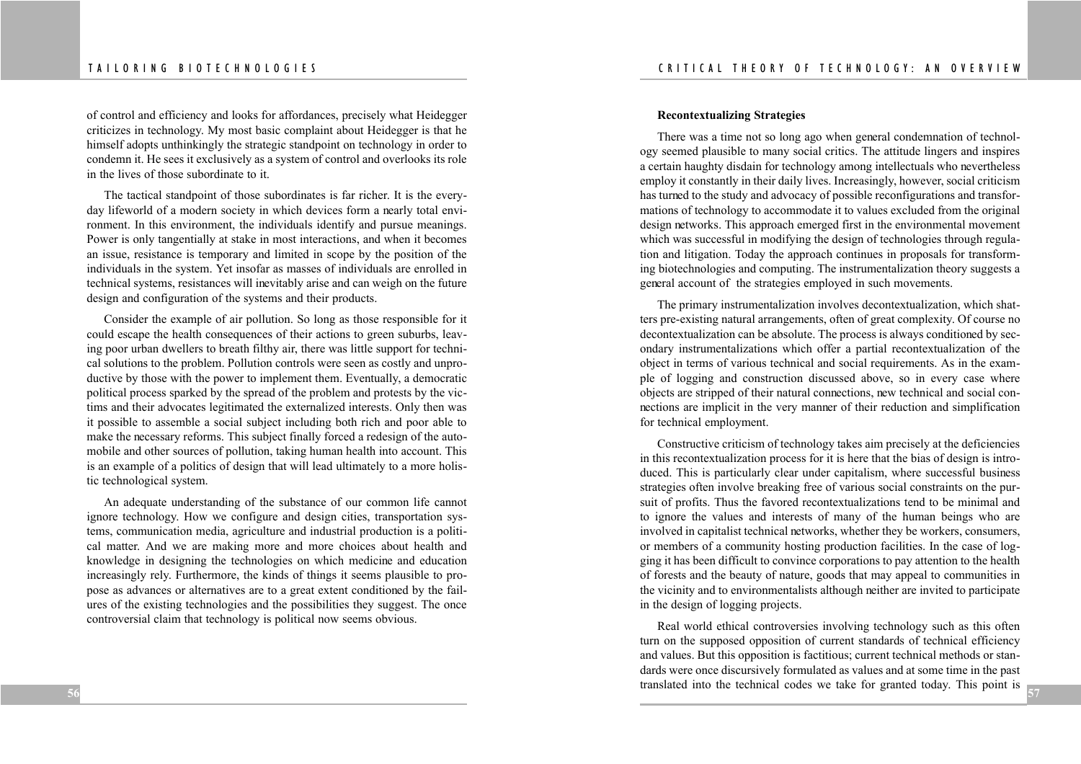of control and efficiency and looks for affordances, precisely what Heidegger criticizes in technology. My most basic complaint about Heidegger is that he himself adopts unthinkingly the strategic standpoint on technology in order to condemn it. He sees it exclusively as a system of control and overlooks its role in the lives of those subordinate to it.

The tactical standpoint of those subordinates is far richer. It is the everyday lifeworld of a modern society in which devices form a nearly total environment. In this environment, the individuals identify and pursue meanings. Power is only tangentially at stake in most interactions, and when it becomes an issue, resistance is temporary and limited in scope by the position of the individuals in the system. Yet insofar as masses of individuals are enrolled in technical systems, resistances will inevitably arise and can weigh on the future design and configuration of the systems and their products.

Consider the example of air pollution. So long as those responsible for it could escape the health consequences of their actions to green suburbs, leaving poor urban dwellers to breath filthy air, there was little support for technical solutions to the problem. Pollution controls were seen as costly and unproductive by those with the power to implement them. Eventually, a democratic political process sparked by the spread of the problem and protests by the victims and their advocates legitimated the externalized interests. Only then was it possible to assemble a social subject including both rich and poor able to make the necessary reforms. This subject finally forced a redesign of the automobile and other sources of pollution, taking human health into account. This is an example of a politics of design that will lead ultimately to a more holistic technological system.

An adequate understanding of the substance of our common life cannot ignore technology. How we configure and design cities, transportation systems, communication media, agriculture and industrial production is a political matter. And we are making more and more choices about health and knowledge in designing the technologies on which medicine and education increasingly rely. Furthermore, the kinds of things it seems plausible to propose as advances or alternatives are to a great extent conditioned by the failures of the existing technologies and the possibilities they suggest. The once controversial claim that technology is political now seems obvious.

#### **Recontextualizing Strategies**

There was a time not so long ago when general condemnation of technology seemed plausible to many social critics. The attitude lingers and inspires a certain haughty disdain for technology among intellectuals who nevertheless employ it constantly in their daily lives. Increasingly, however, social criticism has turned to the study and advocacy of possible reconfigurations and transformations of technology to accommodate it to values excluded from the original design networks. This approach emerged first in the environmental movement which was successful in modifying the design of technologies through regulation and litigation. Today the approach continues in proposals for transforming biotechnologies and computing. The instrumentalization theory suggests a general account of the strategies employed in such movements.

The primary instrumentalization involves decontextualization, which shatters pre-existing natural arrangements, often of great complexity. Of course no decontextualization can be absolute. The process is always conditioned by secondary instrumentalizations which offer a partial recontextualization of the object in terms of various technical and social requirements. As in the example of logging and construction discussed above, so in every case where objects are stripped of their natural connections, new technical and social connections are implicit in the very manner of their reduction and simplification for technical employment.

Constructive criticism of technology takes aim precisely at the deficiencies in this recontextualization process for it is here that the bias of design is introduced. This is particularly clear under capitalism, where successful business strategies often involve breaking free of various social constraints on the pursuit of profits. Thus the favored recontextualizations tend to be minimal and to ignore the values and interests of many of the human beings who are involved in capitalist technical networks, whether they be workers, consumers, or members of a community hosting production facilities. In the case of logging it has been difficult to convince corporations to pay attention to the health of forests and the beauty of nature, goods that may appeal to communities in the vicinity and to environmentalists although neither are invited to participate in the design of logging projects.

Real world ethical controversies involving technology such as this often turn on the supposed opposition of current standards of technical efficiency and values. But this opposition is factitious; current technical methods or standards were once discursively formulated as values and at some time in the past translated into the technical codes we take for granted today. This point is **<sup>57</sup>**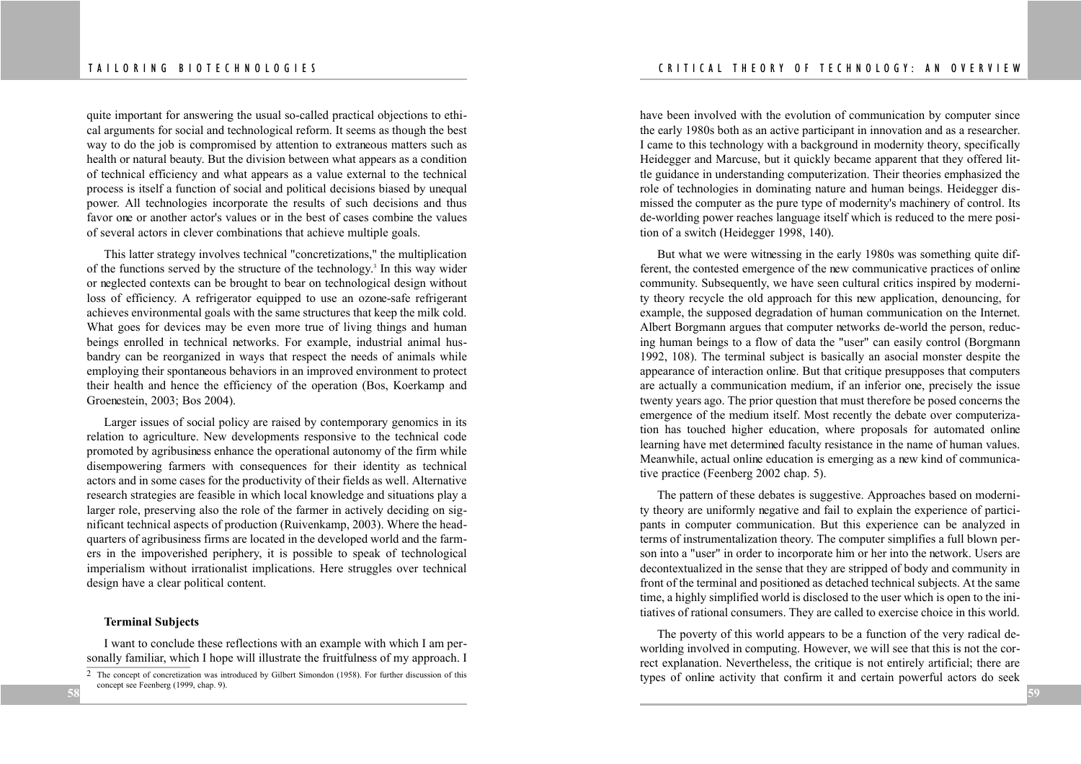quite important for answering the usual so-called practical objections to ethical arguments for social and technological reform. It seems as though the best way to do the job is compromised by attention to extraneous matters such as health or natural beauty. But the division between what appears as a condition of technical efficiency and what appears as a value external to the technical process is itself a function of social and political decisions biased by unequal power. All technologies incorporate the results of such decisions and thus favor one or another actor's values or in the best of cases combine the values of several actors in clever combinations that achieve multiple goals.

This latter strategy involves technical "concretizations," the multiplication of the functions served by the structure of the technology. <sup>3</sup> In this way wider or neglected contexts can be brought to bear on technological design without loss of efficiency. A refrigerator equipped to use an ozone-safe refrigerant achieves environmental goals with the same structures that keep the milk cold. What goes for devices may be even more true of living things and human beings enrolled in technical networks. For example, industrial animal husbandry can be reorganized in ways that respect the needs of animals while employing their spontaneous behaviors in an improved environment to protect their health and hence the efficiency of the operation (Bos, Koerkamp and Groenestein, 2003; Bos 2004).

Larger issues of social policy are raised by contemporary genomics in its relation to agriculture. New developments responsive to the technical code promoted by agribusiness enhance the operational autonomy of the firm while disempowering farmers with consequences for their identity as technical actors and in some cases for the productivity of their fields as well. Alternative research strategies are feasible in which local knowledge and situations play a larger role, preserving also the role of the farmer in actively deciding on significant technical aspects of production (Ruivenkamp, 2003). Where the headquarters of agribusiness firms are located in the developed world and the farmers in the impoverished periphery, it is possible to speak of technological imperialism without irrationalist implications. Here struggles over technical design have a clear political content.

### **Terminal Subjects**

I want to conclude these reflections with an example with which I am personally familiar, which I hope will illustrate the fruitfulness of my approach. I

2 The concept of concretization was introduced by Gilbert Simondon (1958). For further discussion of this concept see Feenberg (1999, chap. 9).

have been involved with the evolution of communication by computer since the early 1980s both as an active participant in innovation and as a researcher. I came to this technology with a background in modernity theory, specifically Heidegger and Marcuse, but it quickly became apparent that they offered little guidance in understanding computerization. Their theories emphasized the role of technologies in dominating nature and human beings. Heidegger dismissed the computer as the pure type of modernity's machinery of control. Its de-worlding power reaches language itself which is reduced to the mere position of a switch (Heidegger 1998, 140).

But what we were witnessing in the early 1980s was something quite different, the contested emergence of the new communicative practices of online community. Subsequently, we have seen cultural critics inspired by modernity theory recycle the old approach for this new application, denouncing, for example, the supposed degradation of human communication on the Internet. Albert Borgmann argues that computer networks de-world the person, reducing human beings to a flow of data the "user" can easily control (Borgmann 1992, 108). The terminal subject is basically an asocial monster despite the appearance of interaction online. But that critique presupposes that computers are actually a communication medium, if an inferior one, precisely the issue twenty years ago. The prior question that must therefore be posed concerns the emergence of the medium itself. Most recently the debate over computerization has touched higher education, where proposals for automated online learning have met determined faculty resistance in the name of human values. Meanwhile, actual online education is emerging as a new kind of communicative practice (Feenberg 2002 chap. 5).

The pattern of these debates is suggestive. Approaches based on modernity theory are uniformly negative and fail to explain the experience of participants in computer communication. But this experience can be analyzed in terms of instrumentalization theory. The computer simplifies a full blown person into a "user" in order to incorporate him or her into the network. Users are decontextualized in the sense that they are stripped of body and community in front of the terminal and positioned as detached technical subjects. At the same time, a highly simplified world is disclosed to the user which is open to the initiatives of rational consumers. They are called to exercise choice in this world.

The poverty of this world appears to be a function of the very radical deworlding involved in computing. However, we will see that this is not the correct explanation. Nevertheless, the critique is not entirely artificial; there are types of online activity that confirm it and certain powerful actors do seek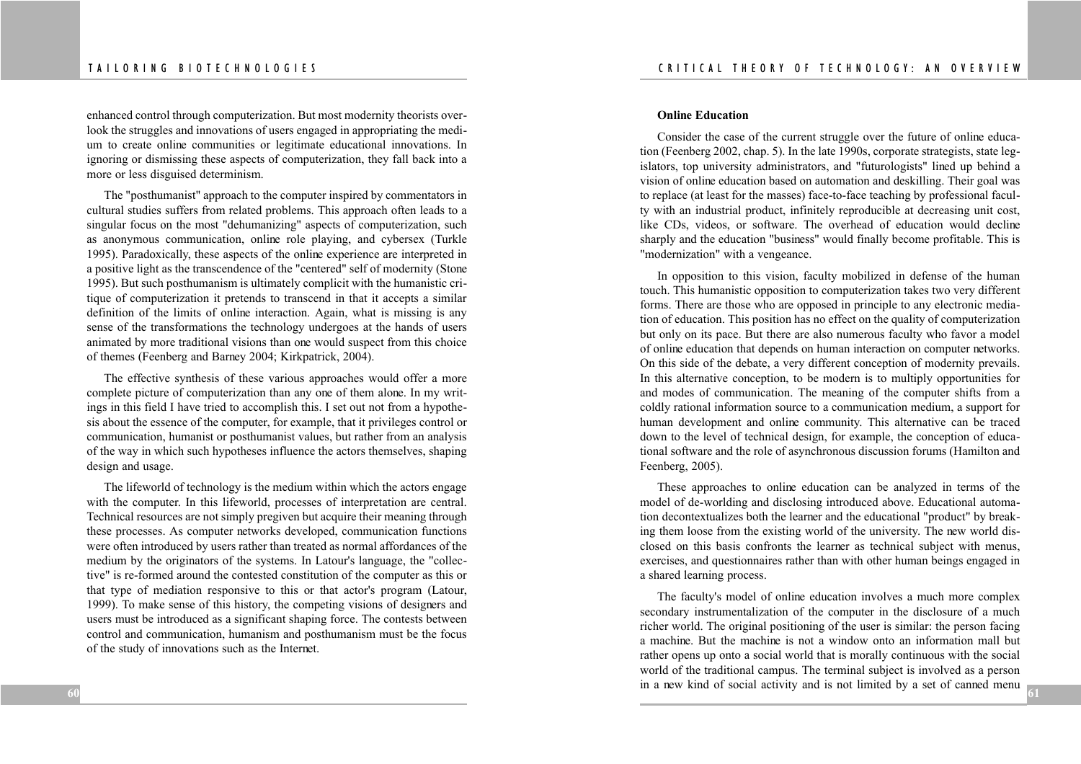enhanced control through computerization. But most modernity theorists overlook the struggles and innovations of users engaged in appropriating the medium to create online communities or legitimate educational innovations. In ignoring or dismissing these aspects of computerization, they fall back into a more or less disguised determinism.

The "posthumanist" approach to the computer inspired by commentators in cultural studies suffers from related problems. This approach often leads to a singular focus on the most "dehumanizing" aspects of computerization, such as anonymous communication, online role playing, and cybersex (Turkle 1995). Paradoxically, these aspects of the online experience are interpreted in a positive light as the transcendence of the "centered" self of modernity (Stone 1995). But such posthumanism is ultimately complicit with the humanistic critique of computerization it pretends to transcend in that it accepts a similar definition of the limits of online interaction. Again, what is missing is any sense of the transformations the technology undergoes at the hands of users animated by more traditional visions than one would suspect from this choice of themes (Feenberg and Barney 2004; Kirkpatrick, 2004).

The effective synthesis of these various approaches would offer a more complete picture of computerization than any one of them alone. In my writings in this field I have tried to accomplish this. I set out not from a hypothesis about the essence of the computer, for example, that it privileges control or communication, humanist or posthumanist values, but rather from an analysis of the way in which such hypotheses influence the actors themselves, shaping design and usage.

The lifeworld of technology is the medium within which the actors engage with the computer. In this lifeworld, processes of interpretation are central. Technical resources are not simply pregiven but acquire their meaning through these processes. As computer networks developed, communication functions were often introduced by users rather than treated as normal affordances of the medium by the originators of the systems. In Latour's language, the "collective" is re-formed around the contested constitution of the computer as this or that type of mediation responsive to this or that actor's program (Latour, 1999). To make sense of this history, the competing visions of designers and users must be introduced as a significant shaping force. The contests between control and communication, humanism and posthumanism must be the focus of the study of innovations such as the Internet.

#### **Online Education**

Consider the case of the current struggle over the future of online education (Feenberg 2002, chap. 5). In the late 1990s, corporate strategists, state legislators, top university administrators, and "futurologists" lined up behind a vision of online education based on automation and deskilling. Their goal was to replace (at least for the masses) face-to-face teaching by professional faculty with an industrial product, infinitely reproducible at decreasing unit cost, like CDs, videos, or software. The overhead of education would decline sharply and the education "business" would finally become profitable. This is "modernization" with a vengeance.

In opposition to this vision, faculty mobilized in defense of the human touch. This humanistic opposition to computerization takes two very different forms. There are those who are opposed in principle to any electronic mediation of education. This position has no effect on the quality of computerization but only on its pace. But there are also numerous faculty who favor a model of online education that depends on human interaction on computer networks. On this side of the debate, a very different conception of modernity prevails. In this alternative conception, to be modern is to multiply opportunities for and modes of communication. The meaning of the computer shifts from a coldly rational information source to a communication medium, a support for human development and online community. This alternative can be traced down to the level of technical design, for example, the conception of educational software and the role of asynchronous discussion forums (Hamilton and Feenberg, 2005).

These approaches to online education can be analyzed in terms of the model of de-worlding and disclosing introduced above. Educational automation decontextualizes both the learner and the educational "product" by breaking them loose from the existing world of the university. The new world disclosed on this basis confronts the learner as technical subject with menus, exercises, and questionnaires rather than with other human beings engaged in a shared learning process.

The faculty's model of online education involves a much more complex secondary instrumentalization of the computer in the disclosure of a much richer world. The original positioning of the user is similar: the person facing a machine. But the machine is not a window onto an information mall but rather opens up onto a social world that is morally continuous with the social world of the traditional campus. The terminal subject is involved as a person in a new kind of social activity and is not limited by a set of canned menu **<sup>61</sup>**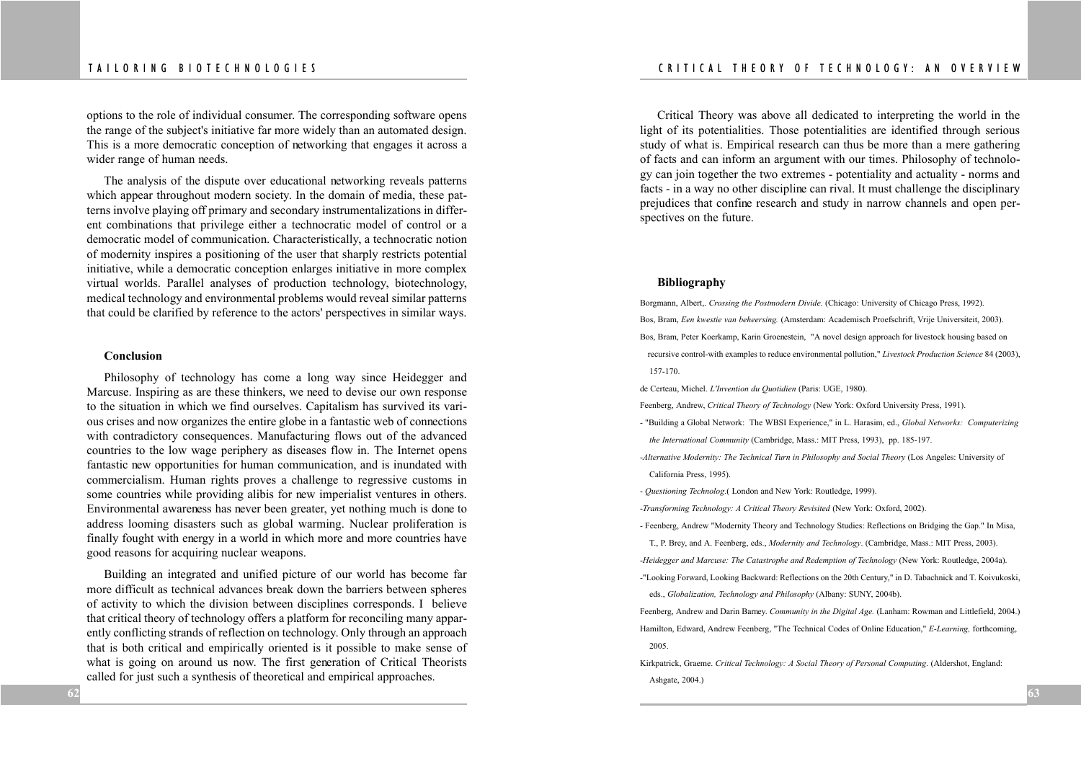options to the role of individual consumer. The corresponding software opens the range of the subject's initiative far more widely than an automated design. This is a more democratic conception of networking that engages it across a wider range of human needs.

The analysis of the dispute over educational networking reveals patterns which appear throughout modern society. In the domain of media, these patterns involve playing off primary and secondary instrumentalizations in different combinations that privilege either a technocratic model of control or a democratic model of communication. Characteristically, a technocratic notion of modernity inspires a positioning of the user that sharply restricts potential initiative, while a democratic conception enlarges initiative in more complex virtual worlds. Parallel analyses of production technology, biotechnology, medical technology and environmental problems would reveal similar patterns that could be clarified by reference to the actors' perspectives in similar ways.

#### **Conclusion**

Philosophy of technology has come a long way since Heidegger and Marcuse. Inspiring as are these thinkers, we need to devise our own response to the situation in which we find ourselves. Capitalism has survived its various crises and now organizes the entire globe in a fantastic web of connections with contradictory consequences. Manufacturing flows out of the advanced countries to the low wage periphery as diseases flow in. The Internet opens fantastic new opportunities for human communication, and is inundated with commercialism. Human rights proves a challenge to regressive customs in some countries while providing alibis for new imperialist ventures in others. Environmental awareness has never been greater, yet nothing much is done to address looming disasters such as global warming. Nuclear proliferation is finally fought with energy in a world in which more and more countries have good reasons for acquiring nuclear weapons.

Building an integrated and unified picture of our world has become far more difficult as technical advances break down the barriers between spheres of activity to which the division between disciplines corresponds. I believe that critical theory of technology offers a platform for reconciling many apparently conflicting strands of reflection on technology. Only through an approach that is both critical and empirically oriented is it possible to make sense of what is going on around us now. The first generation of Critical Theorists called for just such a synthesis of theoretical and empirical approaches.

Critical Theory was above all dedicated to interpreting the world in the light of its potentialities. Those potentialities are identified through serious study of what is. Empirical research can thus be more than a mere gathering of facts and can inform an argument with our times. Philosophy of technology can join together the two extremes - potentiality and actuality - norms and facts - in a way no other discipline can rival. It must challenge the disciplinary prejudices that confine research and study in narrow channels and open perspectives on the future.

#### **Bibliography**

Borgmann, Albert,. *Crossing the Postmodern Divide.* (Chicago: University of Chicago Press, 1992).

- Bos, Bram, *Een kwestie van beheersing.* (Amsterdam: Academisch Proefschrift, Vrije Universiteit, 2003).
- Bos, Bram, Peter Koerkamp, Karin Groenestein, "A novel design approach for livestock housing based on recursive control-with examples to reduce environmental pollution," *Livestock Production Science* 84 (2003), 157-170.

de Certeau, Michel. *L'Invention du Quotidien* (Paris: UGE, 1980).

Feenberg, Andrew, *Critical Theory of Technology* (New York: Oxford University Press, 1991).

- "Building a Global Network: The WBSI Experience," in L. Harasim, ed., *Global Networks: Computerizing the International Community* (Cambridge, Mass.: MIT Press, 1993), pp. 185-197.
- -*Alternative Modernity: The Technical Turn in Philosophy and Social Theory* (Los Angeles: University of California Press, 1995).

- *Questioning Technolog*.( London and New York: Routledge, 1999).

-*Transforming Technology: A Critical Theory Revisited* (New York: Oxford, 2002).

- Feenberg, Andrew "Modernity Theory and Technology Studies: Reflections on Bridging the Gap." In Misa, T., P. Brey, and A. Feenberg, eds., *Modernity and Technology*. (Cambridge, Mass.: MIT Press, 2003).

-*Heidegger and Marcuse: The Catastrophe and Redemption of Technology* (New York: Routledge, 2004a).

-"Looking Forward, Looking Backward: Reflections on the 20th Century," in D. Tabachnick and T. Koivukoski, eds., *Globalization, Technology and Philosophy* (Albany: SUNY, 2004b).

Feenberg, Andrew and Darin Barney. *Community in the Digital Age.* (Lanham: Rowman and Littlefield, 2004.) Hamilton, Edward, Andrew Feenberg, "The Technical Codes of Online Education," *E-Learning,* forthcoming, 2005.

Kirkpatrick, Graeme. *Critical Technology: A Social Theory of Personal Computing*. (Aldershot, England: Ashgate, 2004.)